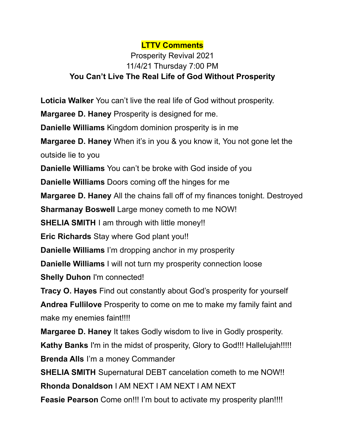## **LTTV Comments**

## Prosperity Revival 2021 11/4/21 Thursday 7:00 PM **You Can't Live The Real Life of God Without Prosperity**

**Loticia Walker** You can't live the real life of God without prosperity.

**Margaree D. Haney** Prosperity is designed for me.

**Danielle Williams** Kingdom dominion prosperity is in me

**Margaree D. Haney** When it's in you & you know it, You not gone let the outside lie to you

**Danielle Williams** You can't be broke with God inside of you

**Danielle Williams** Doors coming off the hinges for me

**Margaree D. Haney** All the chains fall off of my finances tonight. Destroyed

**Sharmanay Boswell** Large money cometh to me NOW!

**SHELIA SMITH** I am through with little money!!

**Eric Richards** Stay where God plant you!!

**Danielle Williams** I'm dropping anchor in my prosperity

**Danielle Williams** I will not turn my prosperity connection loose **Shelly Duhon** I'm connected!

**Tracy O. Hayes** Find out constantly about God's prosperity for yourself **Andrea Fullilove** Prosperity to come on me to make my family faint and make my enemies faint!!!!

**Margaree D. Haney** It takes Godly wisdom to live in Godly prosperity.

**Kathy Banks** I'm in the midst of prosperity, Glory to God!!! Hallelujah!!!!! **Brenda Alls** I'm a money Commander

**SHELIA SMITH** Supernatural DEBT cancelation cometh to me NOW!!

**Rhonda Donaldson** I AM NEXT I AM NEXT I AM NEXT

**Feasie Pearson** Come on!!! I'm bout to activate my prosperity plan!!!!